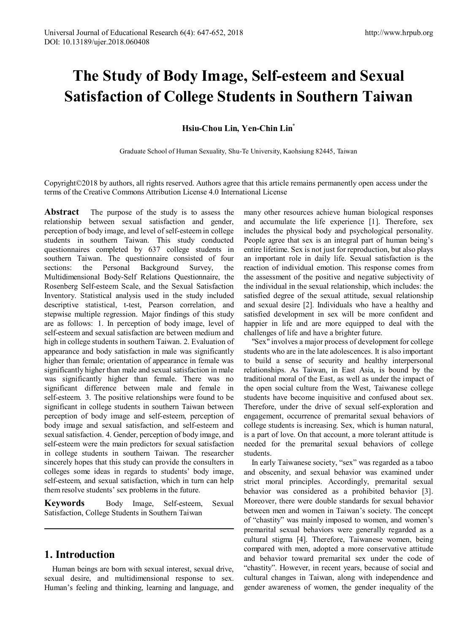# **The Study of Body Image, Self-esteem and Sexual Satisfaction of College Students in Southern Taiwan**

### **Hsiu-Chou Lin, Yen-Chin Lin\***

Graduate School of Human Sexuality, Shu-Te University, Kaohsiung 82445, Taiwan

Copyright©2018 by authors, all rights reserved. Authors agree that this article remains permanently open access under the terms of the Creative Commons Attribution License 4.0 International License

**Abstract** The purpose of the study is to assess the relationship between sexual satisfaction and gender, perception of body image, and level of self-esteem in college students in southern Taiwan. This study conducted questionnaires completed by 637 college students in southern Taiwan. The questionnaire consisted of four sections: the Personal Background Survey, the Multidimensional Body-Self Relations Questionnaire, the Rosenberg Self-esteem Scale, and the Sexual Satisfaction Inventory. Statistical analysis used in the study included descriptive statistical, t-test, Pearson correlation, and stepwise multiple regression. Major findings of this study are as follows: 1. In perception of body image, level of self-esteem and sexual satisfaction are between medium and high in college students in southern Taiwan. 2. Evaluation of appearance and body satisfaction in male was significantly higher than female; orientation of appearance in female was significantly higher than male and sexual satisfaction in male was significantly higher than female. There was no significant difference between male and female in self-esteem. 3. The positive relationships were found to be significant in college students in southern Taiwan between perception of body image and self-esteem, perception of body image and sexual satisfaction, and self-esteem and sexual satisfaction. 4. Gender, perception of body image, and self-esteem were the main predictors for sexual satisfaction in college students in southern Taiwan. The researcher sincerely hopes that this study can provide the consulters in colleges some ideas in regards to students' body image, self-esteem, and sexual satisfaction, which in turn can help them resolve students' sex problems in the future.

**Keywords** Body Image, Self-esteem, Sexual Satisfaction, College Students in Southern Taiwan

## **1. Introduction**

Human beings are born with sexual interest, sexual drive, sexual desire, and multidimensional response to sex. Human's feeling and thinking, learning and language, and many other resources achieve human biological responses and accumulate the life experience [1]. Therefore, sex includes the physical body and psychological personality. People agree that sex is an integral part of human being's entire lifetime. Sex is not just for reproduction, but also plays an important role in daily life. Sexual satisfaction is the reaction of individual emotion. This response comes from the assessment of the positive and negative subjectivity of the individual in the sexual relationship, which includes: the satisfied degree of the sexual attitude, sexual relationship and sexual desire [2]. Individuals who have a healthy and satisfied development in sex will be more confident and happier in life and are more equipped to deal with the challenges of life and have a brighter future.

"Sex" involves a major process of development for college students who are in the late adolescences. It is also important to build a sense of security and healthy interpersonal relationships. As Taiwan, in East Asia, is bound by the traditional moral of the East, as well as under the impact of the open social culture from the West, Taiwanese college students have become inquisitive and confused about sex. Therefore, under the drive of sexual self-exploration and engagement, occurrence of premarital sexual behaviors of college students is increasing. Sex, which is human natural, is a part of love. On that account, a more tolerant attitude is needed for the premarital sexual behaviors of college students.

In early Taiwanese society, "sex" was regarded as a taboo and obscenity, and sexual behavior was examined under strict moral principles. Accordingly, premarital sexual behavior was considered as a prohibited behavior [3]. Moreover, there were double standards for sexual behavior between men and women in Taiwan's society. The concept of "chastity" was mainly imposed to women, and women's premarital sexual behaviors were generally regarded as a cultural stigma [4]. Therefore, Taiwanese women, being compared with men, adopted a more conservative attitude and behavior toward premarital sex under the code of "chastity". However, in recent years, because of social and cultural changes in Taiwan, along with independence and gender awareness of women, the gender inequality of the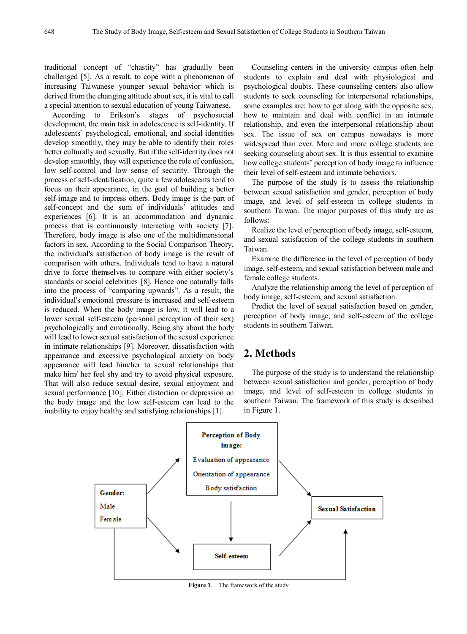traditional concept of "chastity" has gradually been challenged [5]. As a result, to cope with a phenomenon of increasing Taiwanese younger sexual behavior which is derived from the changing attitude about sex, it is vital to call a special attention to sexual education of young Taiwanese.

According to Erikson's stages of psychosocial development, the main task in adolescence is self-identity. If adolescents' psychological, emotional, and social identities develop smoothly, they may be able to identify their roles better culturally and sexually. But if the self-identity does not develop smoothly, they will experience the role of confusion, low self-control and low sense of security. Through the process of self-identification, quite a few adolescents tend to focus on their appearance, in the goal of building a better self-image and to impress others. Body image is the part of self-concept and the sum of individuals' attitudes and experiences [6]. It is an accommodation and dynamic process that is continuously interacting with society [7]. Therefore, body image is also one of the multidimensional factors in sex. According to the Social Comparison Theory, the individual's satisfaction of body image is the result of comparison with others. Individuals tend to have a natural drive to force themselves to compare with either society's standards or social celebrities [8]. Hence one naturally falls into the process of "comparing upwards". As a result, the individual's emotional pressure is increased and self-esteem is reduced. When the body image is low, it will lead to a lower sexual self-esteem (personal perception of their sex) psychologically and emotionally. Being shy about the body will lead to lower sexual satisfaction of the sexual experience in intimate relationships [9]. Moreover, dissatisfaction with appearance and excessive psychological anxiety on body appearance will lead him/her to sexual relationships that make him/ her feel shy and try to avoid physical exposure. That will also reduce sexual desire, sexual enjoyment and sexual performance [10]. Either distortion or depression on the body image and the low self-esteem can lead to the inability to enjoy healthy and satisfying relationships [1].

Counseling centers in the university campus often help students to explain and deal with physiological and psychological doubts. These counseling centers also allow students to seek counseling for interpersonal relationships, some examples are: how to get along with the opposite sex, how to maintain and deal with conflict in an intimate relationship, and even the interpersonal relationship about sex. The issue of sex on campus nowadays is more widespread than ever. More and more college students are seeking counseling about sex. It is thus essential to examine how college students' perception of body image to influence their level of self-esteem and intimate behaviors.

The purpose of the study is to assess the relationship between sexual satisfaction and gender, perception of body image, and level of self-esteem in college students in southern Taiwan. The major purposes of this study are as follows:

Realize the level of perception of body image, self-esteem, and sexual satisfaction of the college students in southern Taiwan.

Examine the difference in the level of perception of body image, self-esteem, and sexual satisfaction between male and female college students.

Analyze the relationship among the level of perception of body image, self-esteem, and sexual satisfaction.

Predict the level of sexual satisfaction based on gender, perception of body image, and self-esteem of the college students in southern Taiwan.

## **2. Methods**

The purpose of the study is to understand the relationship between sexual satisfaction and gender, perception of body image, and level of self-esteem in college students in southern Taiwan. The framework of this study is described in Figure 1.



**Figure 1**. The framework of the study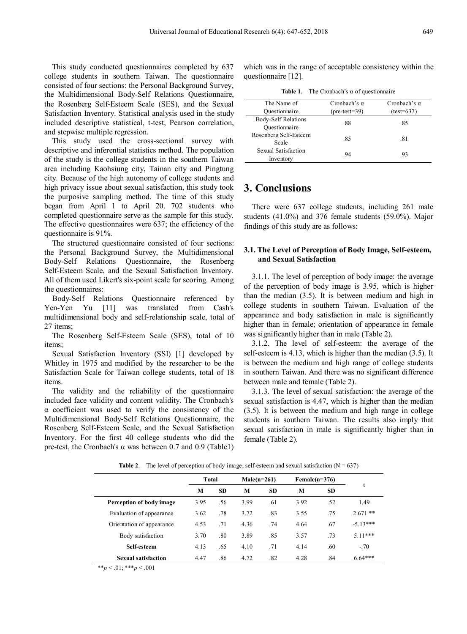This study conducted questionnaires completed by 637 college students in southern Taiwan. The questionnaire consisted of four sections: the Personal Background Survey, the Multidimensional Body-Self Relations Questionnaire, the Rosenberg Self-Esteem Scale (SES), and the Sexual Satisfaction Inventory. Statistical analysis used in the study included descriptive statistical, t-test, Pearson correlation, and stepwise multiple regression.

This study used the cross-sectional survey with descriptive and inferential statistics method. The population of the study is the college students in the southern Taiwan area including Kaohsiung city, Tainan city and Pingtung city. Because of the high autonomy of college students and high privacy issue about sexual satisfaction, this study took the purposive sampling method. The time of this study began from April 1 to April 20. 702 students who completed questionnaire serve as the sample for this study. The effective questionnaires were 637; the efficiency of the questionnaire is 91%.

The structured questionnaire consisted of four sections: the Personal Background Survey, the Multidimensional Body-Self Relations Questionnaire, the Rosenberg Self-Esteem Scale, and the Sexual Satisfaction Inventory. All of them used Likert's six-point scale for scoring. Among the questionnaires:

Body-Self Relations Questionnaire referenced by Yen-Yen Yu [11] was translated from Cash's multidimensional body and self-relationship scale, total of 27 items;

The Rosenberg Self-Esteem Scale (SES), total of 10 items;

Sexual Satisfaction Inventory (SSI) [1] developed by Whitley in 1975 and modified by the researcher to be the Satisfaction Scale for Taiwan college students, total of 18 items.

The validity and the reliability of the questionnaire included face validity and content validity. The Cronbach's α coefficient was used to verify the consistency of the Multidimensional Body-Self Relations Questionnaire, the Rosenberg Self-Esteem Scale, and the Sexual Satisfaction Inventory. For the first 40 college students who did the pre-test, the Cronbach's α was between 0.7 and 0.9 (Table1)

which was in the range of acceptable consistency within the questionnaire [12].

| <b>Table 1.</b> The Cronbach's $\alpha$ of questionnaire |                     |                     |  |  |  |
|----------------------------------------------------------|---------------------|---------------------|--|--|--|
| The Name of                                              | Cronbach's $\alpha$ | Cronbach's $\alpha$ |  |  |  |
| Ouestionnaire                                            | $(pre-test=39)$     | $(test=637)$        |  |  |  |
| Body-Self Relations                                      | .88                 | .85                 |  |  |  |
| Ouestionnaire                                            |                     |                     |  |  |  |
| Rosenberg Self-Esteem                                    | .85                 | .81                 |  |  |  |
| Scale                                                    |                     |                     |  |  |  |
| Sexual Satisfaction                                      | .94                 | .93                 |  |  |  |
| Inventory                                                |                     |                     |  |  |  |

## **3. Conclusions**

There were 637 college students, including 261 male students (41.0%) and 376 female students (59.0%). Major findings of this study are as follows:

#### **3.1. The Level of Perception of Body Image, Self-esteem, and Sexual Satisfaction**

3.1.1. The level of perception of body image: the average of the perception of body image is 3.95, which is higher than the median (3.5). It is between medium and high in college students in southern Taiwan. Evaluation of the appearance and body satisfaction in male is significantly higher than in female; orientation of appearance in female was significantly higher than in male (Table 2).

3.1.2. The level of self-esteem: the average of the self-esteem is 4.13, which is higher than the median (3.5). It is between the medium and high range of college students in southern Taiwan. And there was no significant difference between male and female (Table 2).

3.1.3. The level of sexual satisfaction: the average of the sexual satisfaction is 4.47, which is higher than the median (3.5). It is between the medium and high range in college students in southern Taiwan. The results also imply that sexual satisfaction in male is significantly higher than in female (Table 2).

|                            | Total |           |      | $Male(n=261)$ |      | $Female(n=376)$ |            |
|----------------------------|-------|-----------|------|---------------|------|-----------------|------------|
|                            | М     | <b>SD</b> | М    | <b>SD</b>     | M    | <b>SD</b>       | t          |
| Perception of body image   | 3.95  | .56       | 3.99 | .61           | 3.92 | .52             | 1.49       |
| Evaluation of appearance   | 3.62  | .78       | 3.72 | .83           | 3.55 | .75             | $2.671$ ** |
| Orientation of appearance  | 4.53  | .71       | 4.36 | .74           | 4.64 | .67             | $-513***$  |
| Body satisfaction          | 3.70  | .80       | 3.89 | .85           | 3.57 | .73             | $5.11***$  |
| Self-esteem                | 4.13  | .65       | 4.10 | .71           | 4.14 | .60             | $-.70$     |
| <b>Sexual satisfaction</b> | 4.47  | .86       | 4.72 | .82           | 4.28 | .84             | $6.64***$  |

**Table 2**. The level of perception of body image, self-esteem and sexual satisfaction  $(N = 637)$ 

 $**_p < .01; **_p < .001$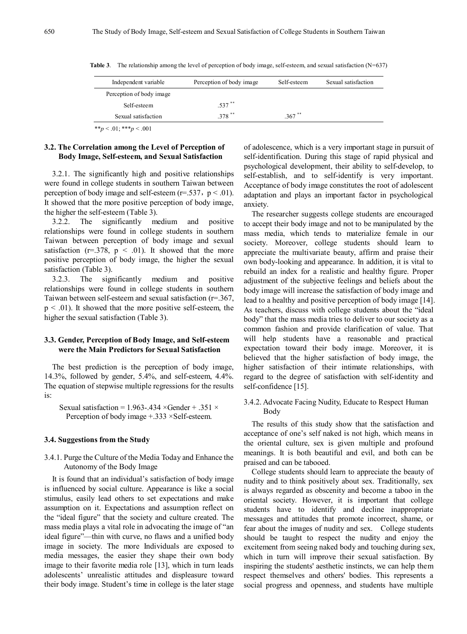| Independent variable     | Perception of body image | Self-esteem | Sexual satisfaction |
|--------------------------|--------------------------|-------------|---------------------|
| Perception of body image |                          |             |                     |
| Self-esteem              | $.537$ **                |             |                     |
| Sexual satisfaction      | $.378$ **                | $.367$ **   |                     |

**Table 3**. The relationship among the level of perception of body image, self-esteem, and sexual satisfaction (N=637)

 $**p < .01$ ; \*\*\**p* < .001

#### **3.2. The Correlation among the Level of Perception of Body Image, Self-esteem, and Sexual Satisfaction**

3.2.1. The significantly high and positive relationships were found in college students in southern Taiwan between perception of body image and self-esteem ( $r = .537$ ,  $p < .01$ ). It showed that the more positive perception of body image, the higher the self-esteem (Table 3).

3.2.2. The significantly medium and positive relationships were found in college students in southern Taiwan between perception of body image and sexual satisfaction ( $r = .378$ ,  $p < .01$ ). It showed that the more positive perception of body image, the higher the sexual satisfaction (Table 3).

3.2.3. The significantly medium and positive relationships were found in college students in southern Taiwan between self-esteem and sexual satisfaction (r=.367,  $p < .01$ ). It showed that the more positive self-esteem, the higher the sexual satisfaction (Table 3).

#### **3.3. Gender, Perception of Body Image, and Self-esteem were the Main Predictors for Sexual Satisfaction**

The best prediction is the perception of body image, 14.3%, followed by gender, 5.4%, and self-esteem, 4.4%. The equation of stepwise multiple regressions for the results is:

Sexual satisfaction =  $1.963 - 434 \times \text{Gender} + .351 \times$ Perception of body image +.333 ×Self-esteem.

#### **3.4. Suggestions from the Study**

3.4.1. Purge the Culture of the Media Today and Enhance the Autonomy of the Body Image

It is found that an individual's satisfaction of body image is influenced by social culture. Appearance is like a social stimulus, easily lead others to set expectations and make assumption on it. Expectations and assumption reflect on the "ideal figure" that the society and culture created. The mass media plays a vital role in advocating the image of "an ideal figure"—thin with curve, no flaws and a unified body image in society. The more Individuals are exposed to media messages, the easier they shape their own body image to their favorite media role [13], which in turn leads adolescents' unrealistic attitudes and displeasure toward their body image. Student's time in college is the later stage

of adolescence, which is a very important stage in pursuit of self-identification. During this stage of rapid physical and psychological development, their ability to self-develop, to self-establish, and to self-identify is very important. Acceptance of body image constitutes the root of adolescent adaptation and plays an important factor in psychological anxiety.

The researcher suggests college students are encouraged to accept their body image and not to be manipulated by the mass media, which tends to materialize female in our society. Moreover, college students should learn to appreciate the multivariate beauty, affirm and praise their own body-looking and appearance. In addition, it is vital to rebuild an index for a realistic and healthy figure. Proper adjustment of the subjective feelings and beliefs about the body image will increase the satisfaction of body image and lead to a healthy and positive perception of body image [14]. As teachers, discuss with college students about the "ideal body" that the mass media tries to deliver to our society as a common fashion and provide clarification of value. That will help students have a reasonable and practical expectation toward their body image. Moreover, it is believed that the higher satisfaction of body image, the higher satisfaction of their intimate relationships, with regard to the degree of satisfaction with self-identity and self-confidence [15].

3.4.2. Advocate Facing Nudity, Educate to Respect Human Body

The results of this study show that the satisfaction and acceptance of one's self naked is not high, which means in the oriental culture, sex is given multiple and profound meanings. It is both beautiful and evil, and both can be praised and can be tabooed.

College students should learn to appreciate the beauty of nudity and to think positively about sex. Traditionally, sex is always regarded as obscenity and become a taboo in the oriental society. However, it is important that college students have to identify and decline inappropriate messages and attitudes that promote incorrect, shame, or fear about the images of nudity and sex. College students should be taught to respect the nudity and enjoy the excitement from seeing naked body and touching during sex, which in turn will improve their sexual satisfaction. By inspiring the students' aesthetic instincts, we can help them respect themselves and others' bodies. This represents a social progress and openness, and students have multiple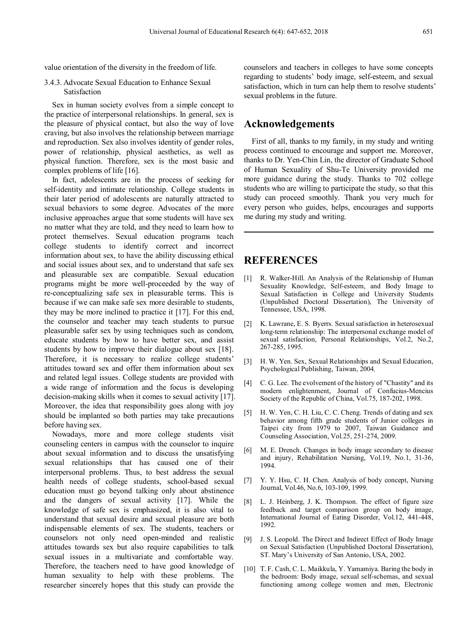value orientation of the diversity in the freedom of life.

#### 3.4.3. Advocate Sexual Education to Enhance Sexual Satisfaction

Sex in human society evolves from a simple concept to the practice of interpersonal relationships. In general, sex is the pleasure of physical contact, but also the way of love craving, but also involves the relationship between marriage and reproduction. Sex also involves identity of gender roles, power of relationship, physical aesthetics, as well as physical function. Therefore, sex is the most basic and complex problems of life [16].

In fact, adolescents are in the process of seeking for self-identity and intimate relationship. College students in their later period of adolescents are naturally attracted to sexual behaviors to some degree. Advocates of the more inclusive approaches argue that some students will have sex no matter what they are told, and they need to learn how to protect themselves. Sexual education programs teach college students to identify correct and incorrect information about sex, to have the ability discussing ethical and social issues about sex, and to understand that safe sex and pleasurable sex are compatible. Sexual education programs might be more well-proceeded by the way of re-conceptualizing safe sex in pleasurable terms. This is because if we can make safe sex more desirable to students, they may be more inclined to practice it [17]. For this end, the counselor and teacher may teach students to pursue pleasurable safer sex by using techniques such as condom, educate students by how to have better sex, and assist students by how to improve their dialogue about sex [18]. Therefore, it is necessary to realize college students' attitudes toward sex and offer them information about sex and related legal issues. College students are provided with a wide range of information and the focus is developing decision-making skills when it comes to sexual activity [17]. Moreover, the idea that responsibility goes along with joy should be implanted so both parties may take precautions before having sex.

Nowadays, more and more college students visit counseling centers in campus with the counselor to inquire about sexual information and to discuss the unsatisfying sexual relationships that has caused one of their interpersonal problems. Thus, to best address the sexual health needs of college students, school-based sexual education must go beyond talking only about abstinence and the dangers of sexual activity [17]. While the knowledge of safe sex is emphasized, it is also vital to understand that sexual desire and sexual pleasure are both indispensable elements of sex. The students, teachers or counselors not only need open-minded and realistic attitudes towards sex but also require capabilities to talk sexual issues in a multivariate and comfortable way. Therefore, the teachers need to have good knowledge of human sexuality to help with these problems. The researcher sincerely hopes that this study can provide the

counselors and teachers in colleges to have some concepts regarding to students' body image, self-esteem, and sexual satisfaction, which in turn can help them to resolve students' sexual problems in the future.

## **Acknowledgements**

First of all, thanks to my family, in my study and writing process continued to encourage and support me. Moreover, thanks to Dr. Yen-Chin Lin, the director of Graduate School of Human Sexuality of Shu-Te University provided me more guidance during the study. Thanks to 702 college students who are willing to participate the study, so that this study can proceed smoothly. Thank you very much for every person who guides, helps, encourages and supports me during my study and writing.

## **REFERENCES**

- [1] R. Walker-Hill. An Analysis of the Relationship of Human Sexuality Knowledge, Self-esteem, and Body Image to Sexual Satisfaction in College and University Students (Unpublished Doctoral Dissertation), The University of Tennessee, USA, 1998.
- [2] K. Lawrane, E. S. Byerrs. Sexual satisfaction in heterosexual long-term relationship: The interpersonal exchange model of sexual satisfaction, Personal Relationships, Vol.2, No.2, 267-285, 1995.
- [3] H. W. Yen. Sex, Sexual Relationships and Sexual Education, Psychological Publishing, Taiwan, 2004.
- [4] C. G. Lee. The evolvement of the history of "Chastity" and its modern enlightenment, Journal of Confucius-Mencius Society of the Republic of China, Vol.75, 187-202, 1998.
- [5] H. W. Yen, C. H. Liu, C. C. Cheng. Trends of dating and sex behavior among fifth grade students of Junior colleges in Taipei city from 1979 to 2007, Taiwan Guidance and Counseling Association, Vol.25, 251-274, 2009.
- [6] M. E. Drench. Changes in body image secondary to disease and injury, Rehabilitation Nursing, Vol.19, No.1, 31-36, 1994.
- [7] Y. Y. Hsu, C. H. Chen. Analysis of body concept, Nursing Journal, Vol.46, No.6, 103-109, 1999.
- [8] L. J. Heinberg, J. K. Thompson. The effect of figure size feedback and target comparison group on body image, International Journal of Eating Disorder, Vol.12, 441-448, 1992.
- [9] J. S. Leopold. The Direct and Indirect Effect of Body Image on Sexual Satisfaction (Unpublished Doctoral Dissertation), ST. Mary's University of San Antonio, USA, 2002.
- [10] T. F. Cash, C. L. Maikkula, Y. Yamamiya. Baring the body in the bedroom: Body image, sexual self-schemas, and sexual functioning among college women and men, Electronic